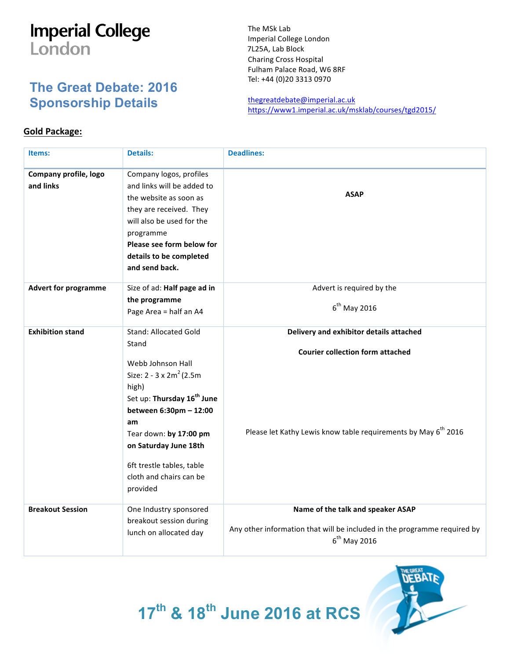## **Imperial College** London

## **The Great Debate: 2016 Sponsorship Details**

The MSk Lab Imperial College London 7L25A, Lab Block Charing Cross Hospital Fulham Palace Road, W6 8RF Tel: +44 (0)20 3313 0970

thegreatdebate@imperial.ac.uk https://www1.imperial.ac.uk/msklab/courses/tgd2015/

## **Gold Package:**

| Items:                             | <b>Details:</b>                                                                                                                                                                                                                                                                                          | <b>Deadlines:</b>                                                                                                                                                |
|------------------------------------|----------------------------------------------------------------------------------------------------------------------------------------------------------------------------------------------------------------------------------------------------------------------------------------------------------|------------------------------------------------------------------------------------------------------------------------------------------------------------------|
| Company profile, logo<br>and links | Company logos, profiles<br>and links will be added to<br>the website as soon as<br>they are received. They<br>will also be used for the<br>programme<br>Please see form below for<br>details to be completed<br>and send back.                                                                           | <b>ASAP</b>                                                                                                                                                      |
| <b>Advert for programme</b>        | Size of ad: Half page ad in<br>the programme<br>Page Area = half an A4                                                                                                                                                                                                                                   | Advert is required by the<br>$6th$ May 2016                                                                                                                      |
| <b>Exhibition stand</b>            | <b>Stand: Allocated Gold</b><br>Stand<br>Webb Johnson Hall<br>Size: $2 - 3 \times 2m^2$ (2.5m)<br>high)<br>Set up: Thursday 16 <sup>th</sup> June<br>between 6:30pm - 12:00<br>am<br>Tear down: by 17:00 pm<br>on Saturday June 18th<br>6ft trestle tables, table<br>cloth and chairs can be<br>provided | Delivery and exhibitor details attached<br><b>Courier collection form attached</b><br>Please let Kathy Lewis know table requirements by May 6 <sup>th</sup> 2016 |
| <b>Breakout Session</b>            | One Industry sponsored<br>breakout session during<br>lunch on allocated day                                                                                                                                                                                                                              | Name of the talk and speaker ASAP<br>Any other information that will be included in the programme required by<br>$6th$ May 2016                                  |



**17th & 18th June 2016 at RCS**